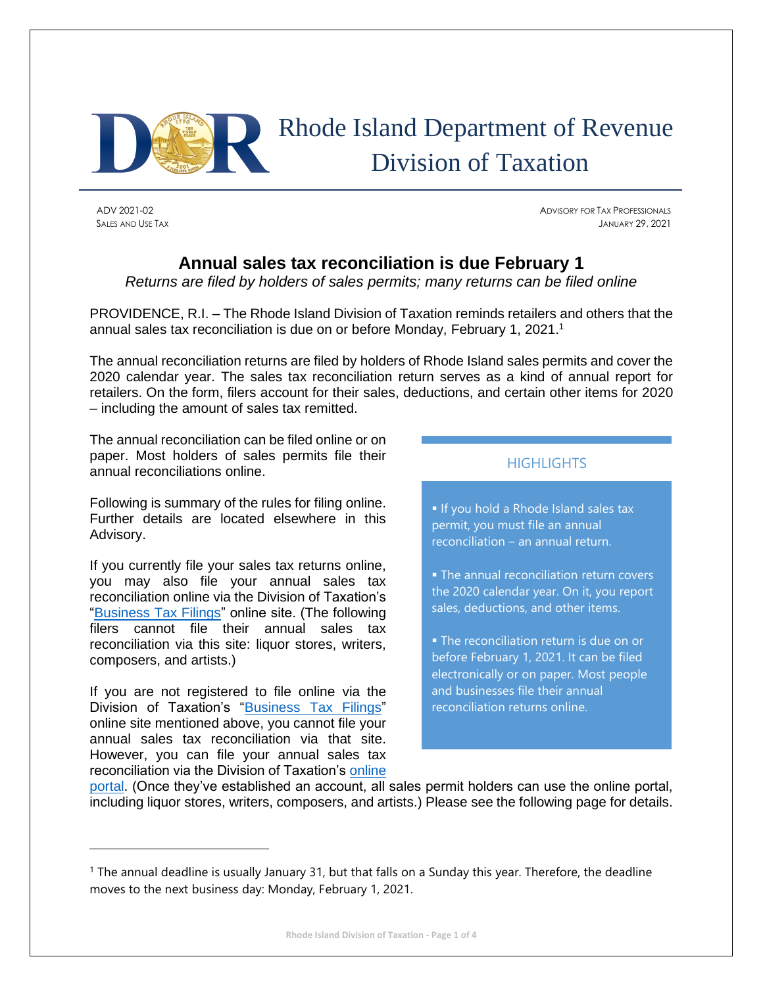

# Rhode Island Department of Revenue Division of Taxation

ADV 2021-02 ADVISORY FOR TAX PROFESSIONALS SALES AND USE TAX JANUARY 29, 2021

## **Annual sales tax reconciliation is due February 1**

*Returns are filed by holders of sales permits; many returns can be filed online* 

PROVIDENCE, R.I. – The Rhode Island Division of Taxation reminds retailers and others that the annual sales tax reconciliation is due on or before Monday, February 1, 2021. 1

The annual reconciliation returns are filed by holders of Rhode Island sales permits and cover the 2020 calendar year. The sales tax reconciliation return serves as a kind of annual report for retailers. On the form, filers account for their sales, deductions, and certain other items for 2020 – including the amount of sales tax remitted.

The annual reconciliation can be filed online or on paper. Most holders of sales permits file their annual reconciliations online.

Following is summary of the rules for filing online. Further details are located elsewhere in this Advisory.

If you currently file your sales tax returns online, you may also file your annual sales tax reconciliation online via the Division of Taxation's ["Business Tax Filings"](https://www.ri.gov/taxation/business/index.php) online site. (The following filers cannot file their annual sales tax reconciliation via this site: liquor stores, writers, composers, and artists.)

If you are not registered to file online via the Division of Taxation's ["Business Tax Filings"](https://www.ri.gov/taxation/business/index.php) online site mentioned above, you cannot file your annual sales tax reconciliation via that site. However, you can file your annual sales tax reconciliation via the Division of Taxation's [online](https://taxportal.ri.gov/) 

### **HIGHLIGHTS**

**If you hold a Rhode Island sales tax** permit, you must file an annual reconciliation – an annual return.

**• The annual reconciliation return covers** the 2020 calendar year. On it, you report sales, deductions, and other items.

**• The reconciliation return is due on or** before February 1, 2021. It can be filed electronically or on paper. Most people and businesses file their annual reconciliation returns online.

[portal.](https://taxportal.ri.gov/) (Once they've established an account, all sales permit holders can use the online portal, including liquor stores, writers, composers, and artists.) Please see the following page for details.

<sup>&</sup>lt;sup>1</sup> The annual deadline is usually January 31, but that falls on a Sunday this year. Therefore, the deadline moves to the next business day: Monday, February 1, 2021.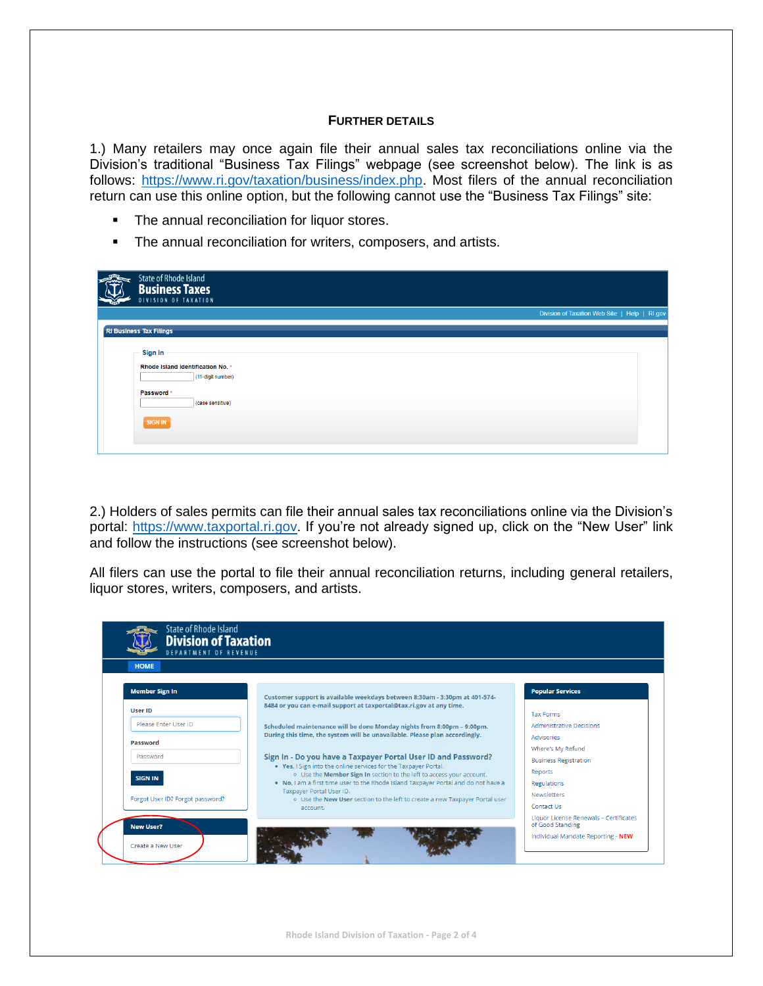#### **FURTHER DETAILS**

1.) Many retailers may once again file their annual sales tax reconciliations online via the Division's traditional "Business Tax Filings" webpage (see screenshot below). The link is as follows: [https://www.ri.gov/taxation/business/index.php.](https://www.ri.gov/taxation/business/index.php) Most filers of the annual reconciliation return can use this online option, but the following cannot use the "Business Tax Filings" site:

- **•** The annual reconciliation for liquor stores.
- **•** The annual reconciliation for writers, composers, and artists.

| <b>Charles Company</b> | State of Rhode Island<br><b>Business Taxes</b><br>DIVISION OF TAXATION                                                |                                               |  |
|------------------------|-----------------------------------------------------------------------------------------------------------------------|-----------------------------------------------|--|
|                        |                                                                                                                       | Division of Taxation Web Site   Help   RI.gov |  |
|                        | <b>RI Business Tax Filings</b>                                                                                        |                                               |  |
|                        | Sign in<br>Rhode Island Identification No. *<br>(11-digit number)<br>Password *<br>(case sensitive)<br><b>SIGN IN</b> |                                               |  |

2.) Holders of sales permits can file their annual sales tax reconciliations online via the Division's portal: [https://www.taxportal.ri.gov.](https://www.taxportal.ri.gov/) If you're not already signed up, click on the "New User" link and follow the instructions (see screenshot below).

All filers can use the portal to file their annual reconciliation returns, including general retailers, liquor stores, writers, composers, and artists.

| <b>HOME</b>                      |                                                                                                                                                                                                                                                                                                                                                                                                                                                        |                                                   |
|----------------------------------|--------------------------------------------------------------------------------------------------------------------------------------------------------------------------------------------------------------------------------------------------------------------------------------------------------------------------------------------------------------------------------------------------------------------------------------------------------|---------------------------------------------------|
| <b>Member Sign In</b>            | Customer support is available weekdays between 8:30am - 3:30pm at 401-574-                                                                                                                                                                                                                                                                                                                                                                             | <b>Popular Services</b>                           |
| <b>User ID</b>                   | 8484 or you can e-mail support at taxportal@tax.ri.gov at any time.                                                                                                                                                                                                                                                                                                                                                                                    | <b>Tax Forms</b>                                  |
| Please Enter User ID             | Scheduled maintenance will be done Monday nights from 8:00pm - 9:00pm.<br>During this time, the system will be unavailable. Please plan accordingly.<br>Sign In - Do you have a Taxpayer Portal User ID and Password?<br>. Yes, I Sign into the online services for the Taxpayer Portal.<br>o Use the Member Sign In section to the left to access your account.<br>. No, I am a first time user to the Rhode Island Taxpayer Portal and do not have a | <b>Administrative Decisions</b>                   |
| Password                         |                                                                                                                                                                                                                                                                                                                                                                                                                                                        | Advisories                                        |
| Password                         |                                                                                                                                                                                                                                                                                                                                                                                                                                                        | Where's My Refund<br><b>Business Registration</b> |
| <b>SIGN IN</b>                   |                                                                                                                                                                                                                                                                                                                                                                                                                                                        | Reports<br>Regulations                            |
| Forgot User ID? Forgot password? | Taxpayer Portal User ID.<br>o Use the New User section to the left to create a new Taxpayer Portal user<br>account.                                                                                                                                                                                                                                                                                                                                    | <b>Newsletters</b><br>Contact Us                  |

**Rhode Island Division of Taxation - Page 2 of 4**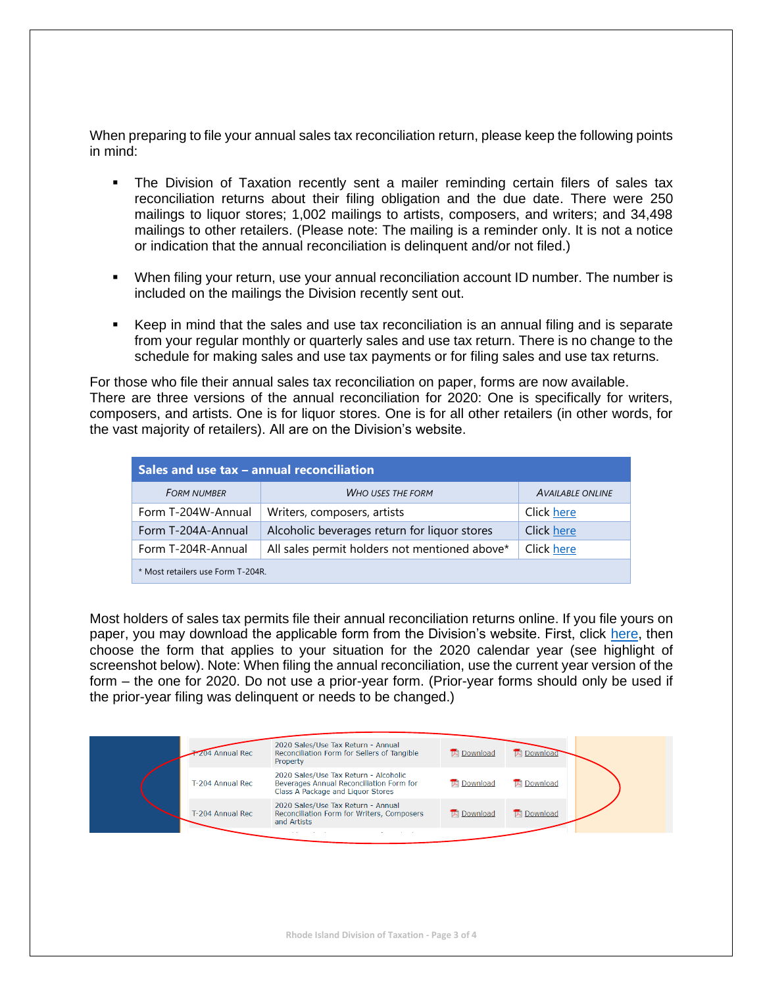When preparing to file your annual sales tax reconciliation return, please keep the following points in mind:

- **•** The Division of Taxation recently sent a mailer reminding certain filers of sales tax reconciliation returns about their filing obligation and the due date. There were 250 mailings to liquor stores; 1,002 mailings to artists, composers, and writers; and 34,498 mailings to other retailers. (Please note: The mailing is a reminder only. It is not a notice or indication that the annual reconciliation is delinquent and/or not filed.)
- When filing your return, use your annual reconciliation account ID number. The number is included on the mailings the Division recently sent out.
- Keep in mind that the sales and use tax reconciliation is an annual filing and is separate from your regular monthly or quarterly sales and use tax return. There is no change to the schedule for making sales and use tax payments or for filing sales and use tax returns.

For those who file their annual sales tax reconciliation on paper, forms are now available. There are three versions of the annual reconciliation for 2020: One is specifically for writers, composers, and artists. One is for liquor stores. One is for all other retailers (in other words, for the vast majority of retailers). All are on the Division's website.

| Sales and use tax - annual reconciliation |                                               |                         |  |  |  |  |
|-------------------------------------------|-----------------------------------------------|-------------------------|--|--|--|--|
| <b>FORM NUMBER</b>                        | <b>WHO USES THE FORM</b>                      | <b>AVAILABLE ONLINE</b> |  |  |  |  |
| Form T-204W-Annual                        | Writers, composers, artists                   | Click here              |  |  |  |  |
| Form T-204A-Annual                        | Alcoholic beverages return for liquor stores  | Click here              |  |  |  |  |
| Form T-204R-Annual                        | All sales permit holders not mentioned above* | Click here              |  |  |  |  |
| * Most retailers use Form T-204R.         |                                               |                         |  |  |  |  |

Most holders of sales tax permits file their annual reconciliation returns online. If you file yours on paper, you may download the applicable form from the Division's website. First, click [here,](http://www.tax.ri.gov/taxforms/sales_excise/sales_use.php) then choose the form that applies to your situation for the 2020 calendar year (see highlight of screenshot below). Note: When filing the annual reconciliation, use the current year version of the form – the one for 2020. Do not use a prior-year form. (Prior-year forms should only be used if the prior-year filing was delinquent or needs to be changed.)

| 204 Annual Rec   | 2020 Sales/Use Tax Return - Annual<br>Reconciliation Form for Sellers of Tangible<br>Property                          | <b>IN</b> Download | <b>IN</b> Download |  |
|------------------|------------------------------------------------------------------------------------------------------------------------|--------------------|--------------------|--|
| T-204 Annual Rec | 2020 Sales/Use Tax Return - Alcoholic<br>Beverages Annual Reconciliation Form for<br>Class A Package and Liquor Stores | <b>IA</b> Download | <b>Download</b>    |  |
| T-204 Annual Rec | 2020 Sales/Use Tax Return - Annual<br>Reconciliation Form for Writers, Composers<br>and Artists                        | <b>IA</b> Download | <b>IA</b> Download |  |

**Rhode Island Division of Taxation - Page 3 of 4**